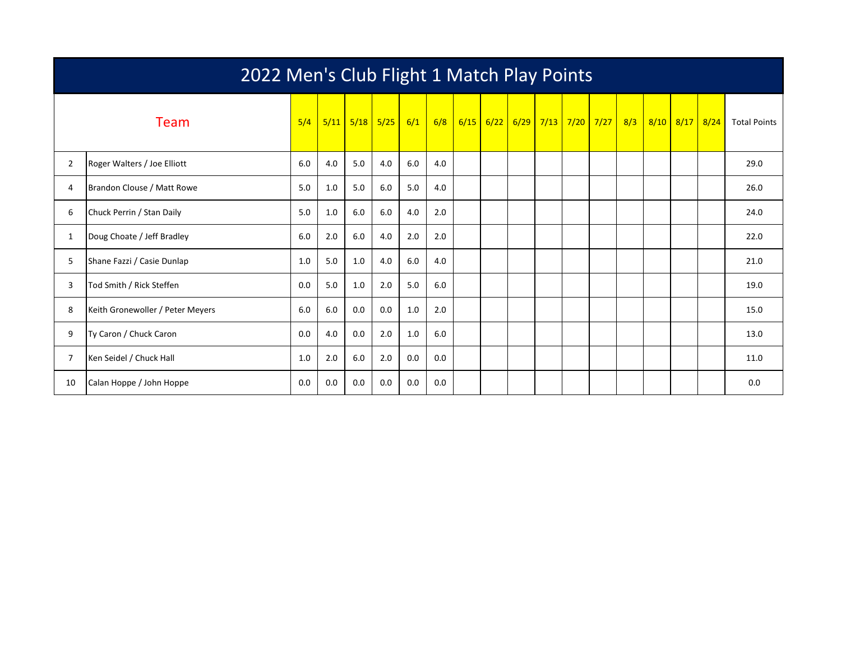|                | 2022 Men's Club Flight 1 Match Play Points |     |     |             |      |     |     |  |             |  |  |  |                                      |  |                |                     |
|----------------|--------------------------------------------|-----|-----|-------------|------|-----|-----|--|-------------|--|--|--|--------------------------------------|--|----------------|---------------------|
|                | <b>Team</b>                                | 5/4 |     | $5/11$ 5/18 | 5/25 | 6/1 | 6/8 |  | $6/15$ 6/22 |  |  |  | <mark>6/29 7/13 7/20 7/27 8/3</mark> |  | 8/10 8/17 8/24 | <b>Total Points</b> |
| $\overline{2}$ | Roger Walters / Joe Elliott                | 6.0 | 4.0 | 5.0         | 4.0  | 6.0 | 4.0 |  |             |  |  |  |                                      |  |                | 29.0                |
| 4              | Brandon Clouse / Matt Rowe                 | 5.0 | 1.0 | 5.0         | 6.0  | 5.0 | 4.0 |  |             |  |  |  |                                      |  |                | 26.0                |
| 6              | Chuck Perrin / Stan Daily                  | 5.0 | 1.0 | 6.0         | 6.0  | 4.0 | 2.0 |  |             |  |  |  |                                      |  |                | 24.0                |
| 1              | Doug Choate / Jeff Bradley                 | 6.0 | 2.0 | 6.0         | 4.0  | 2.0 | 2.0 |  |             |  |  |  |                                      |  |                | 22.0                |
| 5              | Shane Fazzi / Casie Dunlap                 | 1.0 | 5.0 | 1.0         | 4.0  | 6.0 | 4.0 |  |             |  |  |  |                                      |  |                | 21.0                |
| 3              | Tod Smith / Rick Steffen                   | 0.0 | 5.0 | 1.0         | 2.0  | 5.0 | 6.0 |  |             |  |  |  |                                      |  |                | 19.0                |
| 8              | Keith Gronewoller / Peter Meyers           | 6.0 | 6.0 | 0.0         | 0.0  | 1.0 | 2.0 |  |             |  |  |  |                                      |  |                | 15.0                |
| 9              | Ty Caron / Chuck Caron                     | 0.0 | 4.0 | 0.0         | 2.0  | 1.0 | 6.0 |  |             |  |  |  |                                      |  |                | 13.0                |
| 7              | Ken Seidel / Chuck Hall                    | 1.0 | 2.0 | 6.0         | 2.0  | 0.0 | 0.0 |  |             |  |  |  |                                      |  |                | 11.0                |
| 10             | Calan Hoppe / John Hoppe                   | 0.0 | 0.0 | 0.0         | 0.0  | 0.0 | 0.0 |  |             |  |  |  |                                      |  |                | 0.0                 |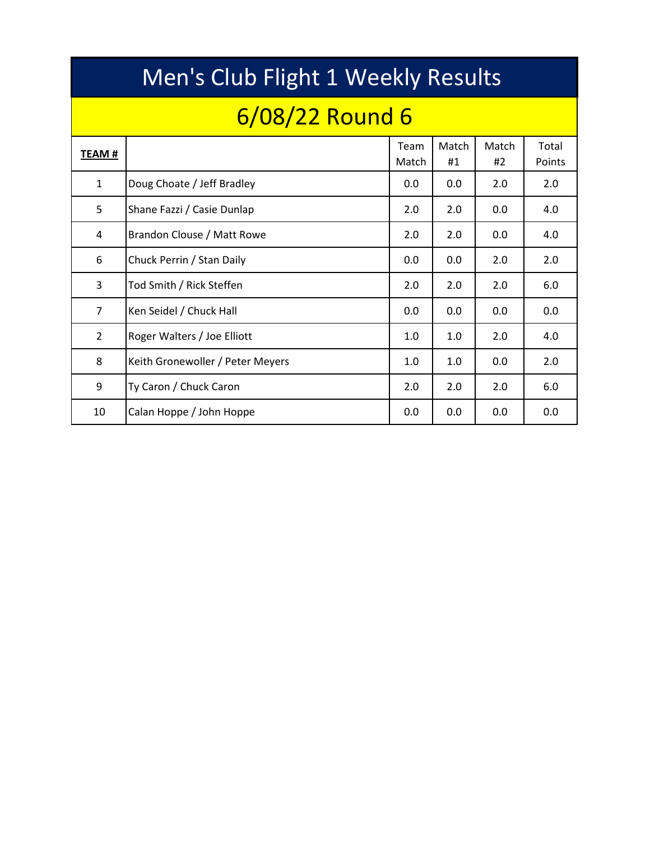|                | Men's Club Flight 1 Weekly Results |               |             |             |                 |  |  |  |  |  |  |  |  |  |  |
|----------------|------------------------------------|---------------|-------------|-------------|-----------------|--|--|--|--|--|--|--|--|--|--|
|                | 6/08/22 Round 6                    |               |             |             |                 |  |  |  |  |  |  |  |  |  |  |
| TEAM #         |                                    | Team<br>Match | Match<br>#1 | Match<br>#2 | Total<br>Points |  |  |  |  |  |  |  |  |  |  |
| $\mathbf{1}$   | Doug Choate / Jeff Bradley         | 0.0           | 0.0         | 2.0         | 2.0             |  |  |  |  |  |  |  |  |  |  |
| 5              | Shane Fazzi / Casie Dunlap         | 2.0           | 2.0         | 0.0         | 4.0             |  |  |  |  |  |  |  |  |  |  |
| 4              | Brandon Clouse / Matt Rowe         | 2.0           | 2.0         | 0.0         | 4.0             |  |  |  |  |  |  |  |  |  |  |
| 6              | Chuck Perrin / Stan Daily          | 0.0           | 0.0         | 2.0         | 2.0             |  |  |  |  |  |  |  |  |  |  |
| 3              | Tod Smith / Rick Steffen           | 2.0           | 2.0         | 2.0         | 6.0             |  |  |  |  |  |  |  |  |  |  |
| $\overline{7}$ | Ken Seidel / Chuck Hall            | 0.0           | 0.0         | 0.0         | 0.0             |  |  |  |  |  |  |  |  |  |  |
| $\overline{2}$ | Roger Walters / Joe Elliott        | 1.0           | 1.0         | 2.0         | 4.0             |  |  |  |  |  |  |  |  |  |  |
| 8              | Keith Gronewoller / Peter Meyers   | 1.0           | 1.0         | 0.0         | 2.0             |  |  |  |  |  |  |  |  |  |  |
| 9              | Ty Caron / Chuck Caron             | 2.0           | 2.0         | 2.0         | 6.0             |  |  |  |  |  |  |  |  |  |  |
| 10             | Calan Hoppe / John Hoppe           | 0.0           | 0.0         | 0.0         | 0.0             |  |  |  |  |  |  |  |  |  |  |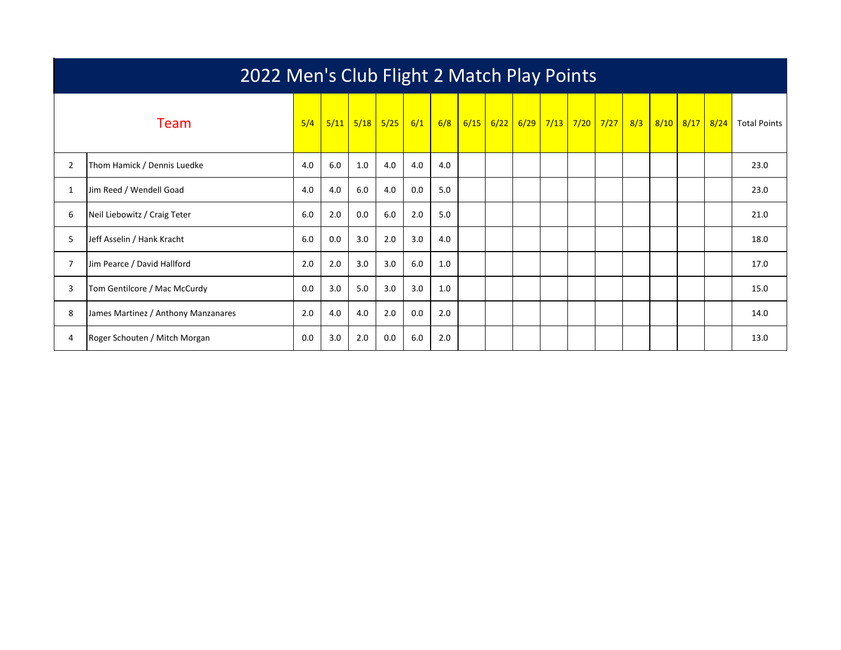|                | 2022 Men's Club Flight 2 Match Play Points |     |      |      |      |     |     |      |      |      |      |  |                        |     |      |      |      |                     |
|----------------|--------------------------------------------|-----|------|------|------|-----|-----|------|------|------|------|--|------------------------|-----|------|------|------|---------------------|
|                | <b>Team</b>                                | 5/4 | 5/11 | 5/18 | 5/25 | 6/1 | 6/8 | 6/15 | 6/22 | 6/29 | 7/13 |  | <mark>7/20 7/27</mark> | 8/3 | 8/10 | 8/17 | 8/24 | <b>Total Points</b> |
| $\overline{2}$ | Thom Hamick / Dennis Luedke                | 4.0 | 6.0  | 1.0  | 4.0  | 4.0 | 4.0 |      |      |      |      |  |                        |     |      |      |      | 23.0                |
|                | Jim Reed / Wendell Goad                    | 4.0 | 4.0  | 6.0  | 4.0  | 0.0 | 5.0 |      |      |      |      |  |                        |     |      |      |      | 23.0                |
| 6              | Neil Liebowitz / Craig Teter               | 6.0 | 2.0  | 0.0  | 6.0  | 2.0 | 5.0 |      |      |      |      |  |                        |     |      |      |      | 21.0                |
| 5              | Jeff Asselin / Hank Kracht                 | 6.0 | 0.0  | 3.0  | 2.0  | 3.0 | 4.0 |      |      |      |      |  |                        |     |      |      |      | 18.0                |
|                | Jim Pearce / David Hallford                | 2.0 | 2.0  | 3.0  | 3.0  | 6.0 | 1.0 |      |      |      |      |  |                        |     |      |      |      | 17.0                |
| 3              | Tom Gentilcore / Mac McCurdy               | 0.0 | 3.0  | 5.0  | 3.0  | 3.0 | 1.0 |      |      |      |      |  |                        |     |      |      |      | 15.0                |
| 8              | James Martinez / Anthony Manzanares        | 2.0 | 4.0  | 4.0  | 2.0  | 0.0 | 2.0 |      |      |      |      |  |                        |     |      |      |      | 14.0                |
| 4              | Roger Schouten / Mitch Morgan              | 0.0 | 3.0  | 2.0  | 0.0  | 6.0 | 2.0 |      |      |      |      |  |                        |     |      |      |      | 13.0                |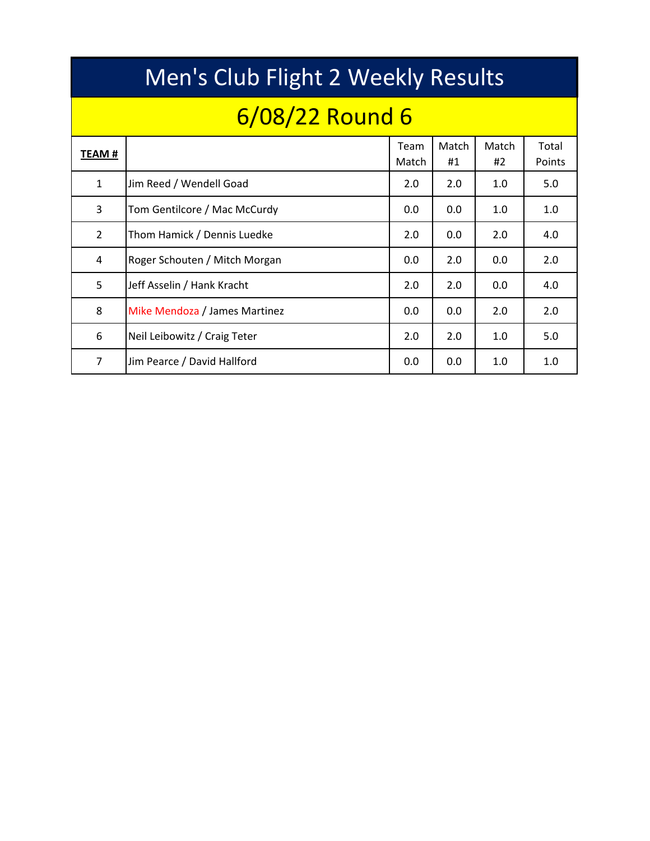|                | Men's Club Flight 2 Weekly Results |               |             |             |                 |  |  |  |  |  |  |  |  |  |  |
|----------------|------------------------------------|---------------|-------------|-------------|-----------------|--|--|--|--|--|--|--|--|--|--|
|                | 6/08/22 Round 6                    |               |             |             |                 |  |  |  |  |  |  |  |  |  |  |
| <b>TEAM#</b>   |                                    | Team<br>Match | Match<br>#1 | Match<br>#2 | Total<br>Points |  |  |  |  |  |  |  |  |  |  |
| $\mathbf{1}$   | Jim Reed / Wendell Goad            | 2.0           | 2.0         | 1.0         | 5.0             |  |  |  |  |  |  |  |  |  |  |
| 3              | Tom Gentilcore / Mac McCurdy       | 0.0           | 0.0         | 1.0         | 1.0             |  |  |  |  |  |  |  |  |  |  |
| $\overline{2}$ | Thom Hamick / Dennis Luedke        | 2.0           | 0.0         | 2.0         | 4.0             |  |  |  |  |  |  |  |  |  |  |
| 4              | Roger Schouten / Mitch Morgan      | 0.0           | 2.0         | 0.0         | 2.0             |  |  |  |  |  |  |  |  |  |  |
| 5              | Jeff Asselin / Hank Kracht         | 2.0           | 2.0         | 0.0         | 4.0             |  |  |  |  |  |  |  |  |  |  |
| 8              | Mike Mendoza / James Martinez      | 0.0           | 0.0         | 2.0         | 2.0             |  |  |  |  |  |  |  |  |  |  |
| 6              | Neil Leibowitz / Craig Teter       | 2.0           | 2.0         | 1.0         | 5.0             |  |  |  |  |  |  |  |  |  |  |
| 7              | Jim Pearce / David Hallford        | 0.0           | 0.0         | 1.0         | 1.0             |  |  |  |  |  |  |  |  |  |  |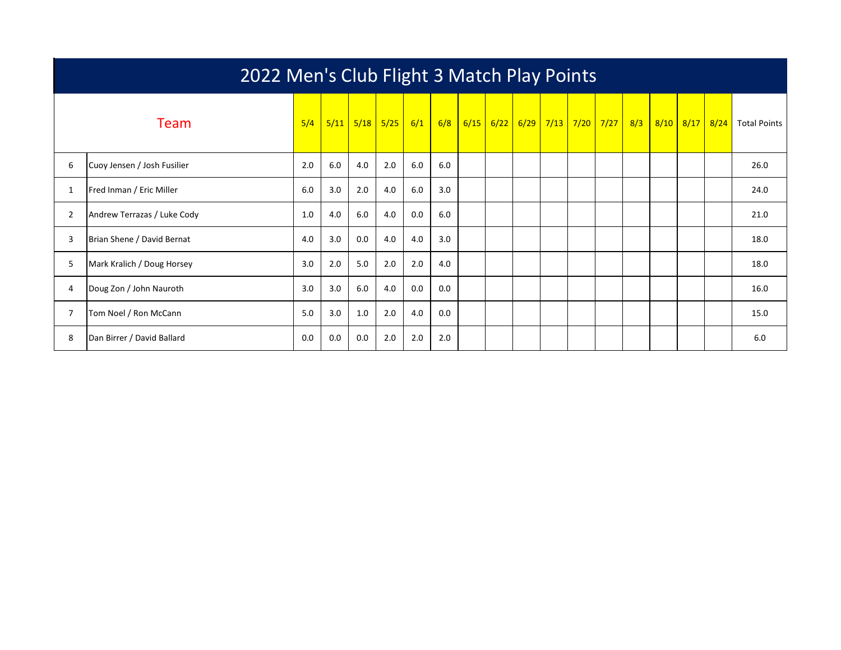|                | 2022 Men's Club Flight 3 Match Play Points |     |      |      |      |     |     |      |      |  |             |  |                        |     |      |      |      |                     |
|----------------|--------------------------------------------|-----|------|------|------|-----|-----|------|------|--|-------------|--|------------------------|-----|------|------|------|---------------------|
|                | <b>Team</b>                                | 5/4 | 5/11 | 5/18 | 5/25 | 6/1 | 6/8 | 6/15 | 6/22 |  | $6/29$ 7/13 |  | <mark>7/20 7/27</mark> | 8/3 | 8/10 | 8/17 | 8/24 | <b>Total Points</b> |
| 6              | Cuoy Jensen / Josh Fusilier                | 2.0 | 6.0  | 4.0  | 2.0  | 6.0 | 6.0 |      |      |  |             |  |                        |     |      |      |      | 26.0                |
|                | Fred Inman / Eric Miller                   | 6.0 | 3.0  | 2.0  | 4.0  | 6.0 | 3.0 |      |      |  |             |  |                        |     |      |      |      | 24.0                |
| $\overline{2}$ | Andrew Terrazas / Luke Cody                | 1.0 | 4.0  | 6.0  | 4.0  | 0.0 | 6.0 |      |      |  |             |  |                        |     |      |      |      | 21.0                |
| 3              | Brian Shene / David Bernat                 | 4.0 | 3.0  | 0.0  | 4.0  | 4.0 | 3.0 |      |      |  |             |  |                        |     |      |      |      | 18.0                |
| 5              | Mark Kralich / Doug Horsey                 | 3.0 | 2.0  | 5.0  | 2.0  | 2.0 | 4.0 |      |      |  |             |  |                        |     |      |      |      | 18.0                |
| 4              | Doug Zon / John Nauroth                    | 3.0 | 3.0  | 6.0  | 4.0  | 0.0 | 0.0 |      |      |  |             |  |                        |     |      |      |      | 16.0                |
|                | Tom Noel / Ron McCann                      | 5.0 | 3.0  | 1.0  | 2.0  | 4.0 | 0.0 |      |      |  |             |  |                        |     |      |      |      | 15.0                |
| 8              | Dan Birrer / David Ballard                 | 0.0 | 0.0  | 0.0  | 2.0  | 2.0 | 2.0 |      |      |  |             |  |                        |     |      |      |      | 6.0                 |